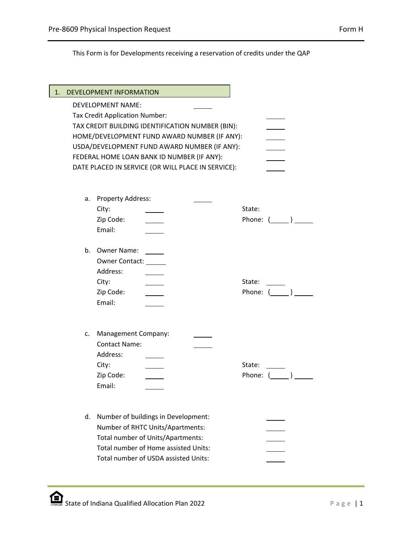This Form is for Developments receiving a reservation of credits under the QAP

| DEVELOPMENT INFORMATION<br>1.                      |                 |
|----------------------------------------------------|-----------------|
| <b>DEVELOPMENT NAME:</b>                           |                 |
| Tax Credit Application Number:                     |                 |
| TAX CREDIT BUILDING IDENTIFICATION NUMBER (BIN):   |                 |
| HOME/DEVELOPMENT FUND AWARD NUMBER (IF ANY):       |                 |
| USDA/DEVELOPMENT FUND AWARD NUMBER (IF ANY):       |                 |
| FEDERAL HOME LOAN BANK ID NUMBER (IF ANY):         |                 |
| DATE PLACED IN SERVICE (OR WILL PLACE IN SERVICE): |                 |
|                                                    |                 |
| Property Address:<br>a.                            |                 |
| City:                                              | State:          |
| Zip Code:                                          | Phone: ()       |
| Email:                                             |                 |
|                                                    |                 |
| <b>Owner Name:</b><br>b.                           |                 |
| <b>Owner Contact:</b>                              |                 |
| Address:                                           |                 |
| City:                                              | State:          |
| Zip Code:                                          | Phone: ()       |
| Email:                                             |                 |
|                                                    |                 |
|                                                    |                 |
| Management Company:<br>c.<br><b>Contact Name:</b>  |                 |
| Address:                                           |                 |
| City:                                              | State:          |
| Zip Code:                                          | Phone: $(\_\_)$ |
| Email:                                             |                 |
|                                                    |                 |
|                                                    |                 |
| d.<br>Number of buildings in Development:          |                 |
| Number of RHTC Units/Apartments:                   |                 |
| Total number of Units/Apartments:                  |                 |
| Total number of Home assisted Units:               |                 |
| Total number of USDA assisted Units:               |                 |
|                                                    |                 |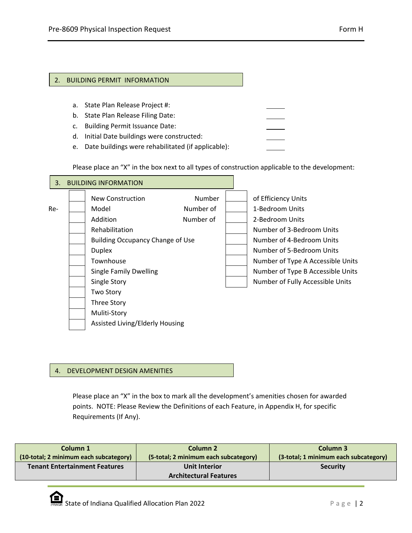- a. State Plan Release Project #:
- b. State Plan Release Filing Date:
- c. Building Permit Issuance Date:
- d. Initial Date buildings were constructed:
- e. Date buildings were rehabilitated (if applicable):

Please place an "X" in the box next to all types of construction applicable to the development:

| 3.  | <b>BUILDING INFORMATION</b>                                                                                                                                                                           |                                  |  |                                                                                                                                                                                                                                                                |
|-----|-------------------------------------------------------------------------------------------------------------------------------------------------------------------------------------------------------|----------------------------------|--|----------------------------------------------------------------------------------------------------------------------------------------------------------------------------------------------------------------------------------------------------------------|
| Re- | New Construction<br>Model<br>Addition<br>Rehabilitation<br><b>Building Occupancy Change of Use</b><br><b>Duplex</b><br>Townhouse<br><b>Single Family Dwelling</b><br>Single Story<br><b>Two Story</b> | Number<br>Number of<br>Number of |  | of Efficiency Units<br>1-Bedroom Units<br>2-Bedroom Units<br>Number of 3-Bedroom Units<br>Number of 4-Bedroom Units<br>Number of 5-Bedroom Units<br>Number of Type A Accessible Units<br>Number of Type B Accessible Units<br>Number of Fully Accessible Units |
|     | Three Story<br>Muliti-Story<br>Assisted Living/Elderly Housing                                                                                                                                        |                                  |  |                                                                                                                                                                                                                                                                |

## 4. DEVELOPMENT DESIGN AMENITIES

Please place an "X" in the box to mark all the development's amenities chosen for awarded points. NOTE: Please Review the Definitions of each Feature, in Appendix H, for specific Requirements (If Any).

| Column 1                               | Column <sub>2</sub>                            | Column 3                              |
|----------------------------------------|------------------------------------------------|---------------------------------------|
| (10-total; 2 minimum each subcategory) | (5-total; 2 minimum each subcategory)          | (3-total; 1 minimum each subcategory) |
| <b>Tenant Entertainment Features</b>   | Unit Interior<br><b>Architectural Features</b> | <b>Security</b>                       |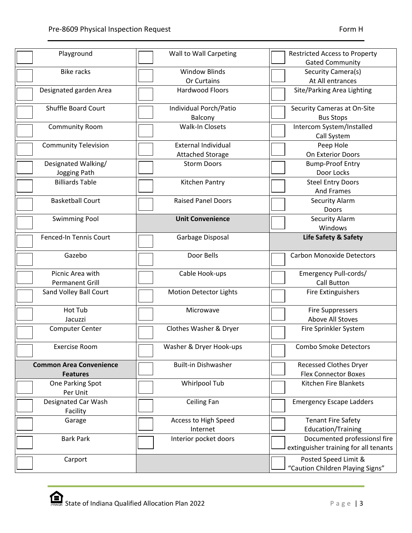| Playground                     | Wall to Wall Carpeting        | <b>Restricted Access to Property</b>  |
|--------------------------------|-------------------------------|---------------------------------------|
|                                |                               | <b>Gated Community</b>                |
| <b>Bike racks</b>              | <b>Window Blinds</b>          | Security Camera(s)                    |
|                                | Or Curtains                   | At All entrances                      |
| Designated garden Area         | <b>Hardwood Floors</b>        | Site/Parking Area Lighting            |
| <b>Shuffle Board Court</b>     | Individual Porch/Patio        | Security Cameras at On-Site           |
|                                | Balcony                       | <b>Bus Stops</b>                      |
| <b>Community Room</b>          | Walk-In Closets               | Intercom System/Installed             |
|                                |                               | Call System                           |
| <b>Community Television</b>    | <b>External Individual</b>    | Peep Hole                             |
|                                | <b>Attached Storage</b>       | On Exterior Doors                     |
| Designated Walking/            | <b>Storm Doors</b>            | <b>Bump-Proof Entry</b>               |
| Jogging Path                   |                               | Door Locks                            |
| <b>Billiards Table</b>         | Kitchen Pantry                | <b>Steel Entry Doors</b>              |
|                                |                               | <b>And Frames</b>                     |
| <b>Basketball Court</b>        | <b>Raised Panel Doors</b>     | <b>Security Alarm</b>                 |
|                                |                               | Doors                                 |
|                                |                               |                                       |
| <b>Swimming Pool</b>           | <b>Unit Convenience</b>       | Security Alarm                        |
|                                |                               | Windows                               |
| Fenced-In Tennis Court         | Garbage Disposal              | Life Safety & Safety                  |
| Gazebo                         | Door Bells                    | <b>Carbon Monoxide Detectors</b>      |
| Picnic Area with               | Cable Hook-ups                | Emergency Pull-cords/                 |
| <b>Permanent Grill</b>         |                               | <b>Call Button</b>                    |
| Sand Volley Ball Court         | <b>Motion Detector Lights</b> | <b>Fire Extinguishers</b>             |
| Hot Tub                        | Microwave                     | <b>Fire Suppressers</b>               |
| Jacuzzi                        |                               | Above All Stoves                      |
| <b>Computer Center</b>         | Clothes Washer & Dryer        | Fire Sprinkler System                 |
|                                |                               |                                       |
| <b>Exercise Room</b>           | Washer & Dryer Hook-ups       | <b>Combo Smoke Detectors</b>          |
| <b>Common Area Convenience</b> | <b>Built-in Dishwasher</b>    | <b>Recessed Clothes Dryer</b>         |
| <b>Features</b>                |                               | <b>Flex Connector Boxes</b>           |
| One Parking Spot               | Whirlpool Tub                 | Kitchen Fire Blankets                 |
| Per Unit                       |                               |                                       |
| Designated Car Wash            | Ceiling Fan                   | <b>Emergency Escape Ladders</b>       |
| Facility                       |                               |                                       |
| Garage                         | Access to High Speed          | <b>Tenant Fire Safety</b>             |
|                                | Internet                      | <b>Education/Training</b>             |
| <b>Bark Park</b>               | Interior pocket doors         | Documented professionsl fire          |
|                                |                               | extinguisher training for all tenants |
| Carport                        |                               | Posted Speed Limit &                  |
|                                |                               | "Caution Children Playing Signs"      |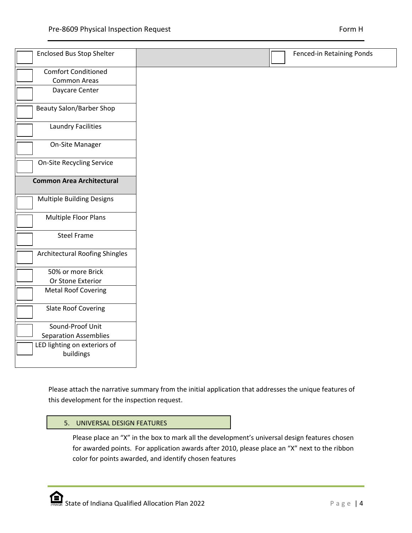| <b>Comfort Conditioned</b><br>Common Areas<br>Daycare Center<br><b>Beauty Salon/Barber Shop</b><br><b>Laundry Facilities</b><br>On-Site Manager<br><b>On-Site Recycling Service</b><br><b>Common Area Architectural</b><br><b>Multiple Building Designs</b><br>Multiple Floor Plans<br><b>Steel Frame</b><br>Architectural Roofing Shingles<br>50% or more Brick<br>Or Stone Exterior<br><b>Metal Roof Covering</b><br><b>Slate Roof Covering</b><br>Sound-Proof Unit<br><b>Separation Assemblies</b> | <b>Enclosed Bus Stop Shelter</b> |
|-------------------------------------------------------------------------------------------------------------------------------------------------------------------------------------------------------------------------------------------------------------------------------------------------------------------------------------------------------------------------------------------------------------------------------------------------------------------------------------------------------|----------------------------------|
|                                                                                                                                                                                                                                                                                                                                                                                                                                                                                                       |                                  |
|                                                                                                                                                                                                                                                                                                                                                                                                                                                                                                       |                                  |
|                                                                                                                                                                                                                                                                                                                                                                                                                                                                                                       |                                  |
|                                                                                                                                                                                                                                                                                                                                                                                                                                                                                                       |                                  |
|                                                                                                                                                                                                                                                                                                                                                                                                                                                                                                       |                                  |
|                                                                                                                                                                                                                                                                                                                                                                                                                                                                                                       |                                  |
|                                                                                                                                                                                                                                                                                                                                                                                                                                                                                                       |                                  |
|                                                                                                                                                                                                                                                                                                                                                                                                                                                                                                       |                                  |
|                                                                                                                                                                                                                                                                                                                                                                                                                                                                                                       |                                  |
|                                                                                                                                                                                                                                                                                                                                                                                                                                                                                                       |                                  |
|                                                                                                                                                                                                                                                                                                                                                                                                                                                                                                       |                                  |
|                                                                                                                                                                                                                                                                                                                                                                                                                                                                                                       |                                  |
|                                                                                                                                                                                                                                                                                                                                                                                                                                                                                                       |                                  |
|                                                                                                                                                                                                                                                                                                                                                                                                                                                                                                       |                                  |
|                                                                                                                                                                                                                                                                                                                                                                                                                                                                                                       |                                  |
|                                                                                                                                                                                                                                                                                                                                                                                                                                                                                                       |                                  |
|                                                                                                                                                                                                                                                                                                                                                                                                                                                                                                       |                                  |
|                                                                                                                                                                                                                                                                                                                                                                                                                                                                                                       |                                  |
| buildings                                                                                                                                                                                                                                                                                                                                                                                                                                                                                             | LED lighting on exteriors of     |

Please attach the narrative summary from the initial application that addresses the unique features of this development for the inspection request.

# 5. UNIVERSAL DESIGN FEATURES

Please place an "X" in the box to mark all the development's universal design features chosen for awarded points. For application awards after 2010, please place an "X" next to the ribbon color for points awarded, and identify chosen features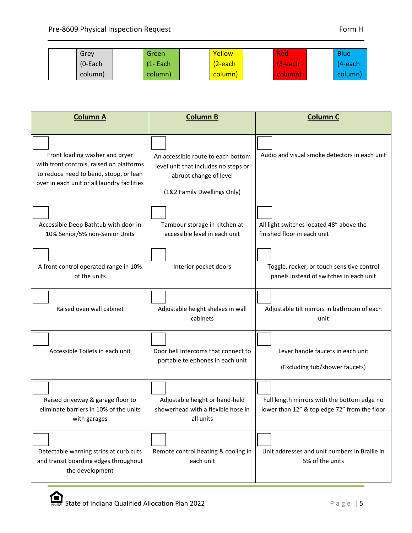| Grev       | Green        | Yellow  | Red        | <b>Blue</b> |
|------------|--------------|---------|------------|-------------|
| $(O$ -Each | $(1 - Each)$ | 2-each  | $(3$ -each | $(4$ -each  |
| column)    | column)      | column) | column)    | column)     |

| <b>Column A</b>                                                                                                                                                     | <b>Column B</b>                                                                                                                     | <b>Column C</b>                                                                             |
|---------------------------------------------------------------------------------------------------------------------------------------------------------------------|-------------------------------------------------------------------------------------------------------------------------------------|---------------------------------------------------------------------------------------------|
| Front loading washer and dryer<br>with front controls, raised on platforms<br>to reduce need to bend, stoop, or lean<br>over in each unit or all laundry facilities | An accessible route to each bottom<br>level unit that includes no steps or<br>abrupt change of level<br>(1&2 Family Dwellings Only) | Audio and visual smoke detectors in each unit                                               |
| Accessible Deep Bathtub with door in<br>10% Senior/5% non-Senior Units                                                                                              | Tambour storage in kitchen at<br>accessible level in each unit                                                                      | All light switches located 48" above the<br>finished floor in each unit                     |
| A front control operated range in 10%<br>of the units                                                                                                               | Interior pocket doors                                                                                                               | Toggle, rocker, or touch sensitive control<br>panels instead of switches in each unit       |
| Raised oven wall cabinet                                                                                                                                            | Adjustable height shelves in wall<br>cabinets                                                                                       | Adjustable tilt mirrors in bathroom of each<br>unit                                         |
| Accessible Toilets in each unit                                                                                                                                     | Door bell intercoms that connect to<br>portable telephones in each unit                                                             | Lever handle faucets in each unit<br>(Excluding tub/shower faucets)                         |
| Raised driveway & garage floor to<br>eliminate barriers in 10% of the units<br>with garages                                                                         | Adjustable height or hand-held<br>showerhead with a flexible hose in<br>all units                                                   | Full length mirrors with the bottom edge no<br>lower than 12" & top edge 72" from the floor |
| Detectable warning strips at curb cuts<br>and transit boarding edges throughout<br>the development                                                                  | Remote control heating & cooling in<br>each unit                                                                                    | Unit addresses and unit numbers in Braille in<br>5% of the units                            |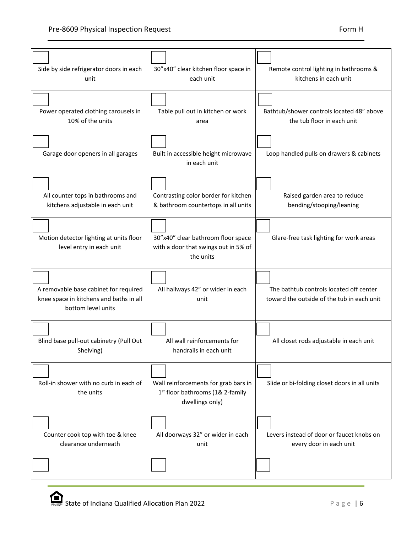| Side by side refrigerator doors in each<br>unit                                                        | 30"x40" clear kitchen floor space in<br>each unit                                           | Remote control lighting in bathrooms &<br>kitchens in each unit                       |
|--------------------------------------------------------------------------------------------------------|---------------------------------------------------------------------------------------------|---------------------------------------------------------------------------------------|
| Power operated clothing carousels in<br>10% of the units                                               | Table pull out in kitchen or work<br>area                                                   | Bathtub/shower controls located 48" above<br>the tub floor in each unit               |
| Garage door openers in all garages                                                                     | Built in accessible height microwave<br>in each unit                                        | Loop handled pulls on drawers & cabinets                                              |
| All counter tops in bathrooms and<br>kitchens adjustable in each unit                                  | Contrasting color border for kitchen<br>& bathroom countertops in all units                 | Raised garden area to reduce<br>bending/stooping/leaning                              |
| Motion detector lighting at units floor<br>level entry in each unit                                    | 30"x40" clear bathroom floor space<br>with a door that swings out in 5% of<br>the units     | Glare-free task lighting for work areas                                               |
| A removable base cabinet for required<br>knee space in kitchens and baths in all<br>bottom level units | All hallways 42" or wider in each<br>unit                                                   | The bathtub controls located off center<br>toward the outside of the tub in each unit |
| Blind base pull-out cabinetry (Pull Out<br>Shelving)                                                   | All wall reinforcements for<br>handrails in each unit                                       | All closet rods adjustable in each unit                                               |
| Roll-in shower with no curb in each of<br>the units                                                    | Wall reinforcements for grab bars in<br>1st floor bathrooms (1& 2-family<br>dwellings only) | Slide or bi-folding closet doors in all units                                         |
| Counter cook top with toe & knee<br>clearance underneath                                               | All doorways 32" or wider in each<br>unit                                                   | Levers instead of door or faucet knobs on<br>every door in each unit                  |
|                                                                                                        |                                                                                             |                                                                                       |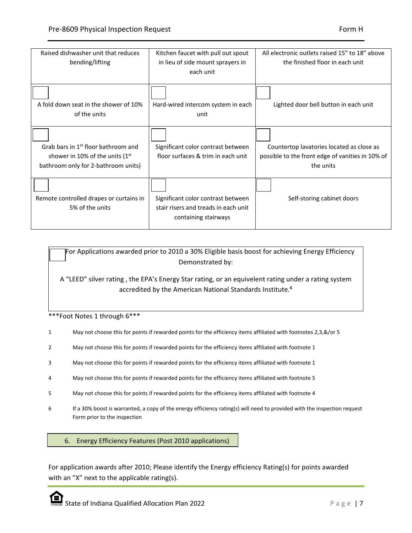| Raised dishwasher unit that reduces<br>bending/lifting                                                                      | Kitchen faucet with pull out spout<br>in lieu of side mount sprayers in<br>each unit               | All electronic outlets raised 15" to 18" above<br>the finished floor in each unit                          |
|-----------------------------------------------------------------------------------------------------------------------------|----------------------------------------------------------------------------------------------------|------------------------------------------------------------------------------------------------------------|
| A fold down seat in the shower of 10%<br>of the units                                                                       | Hard-wired intercom system in each<br>unit                                                         | Lighted door bell button in each unit                                                                      |
| Grab bars in 1 <sup>st</sup> floor bathroom and<br>shower in 10% of the units $(1st$<br>bathroom only for 2-bathroom units) | Significant color contrast between<br>floor surfaces & trim in each unit                           | Countertop lavatories located as close as<br>possible to the front edge of vanities in 10% of<br>the units |
| Remote controlled drapes or curtains in<br>5% of the units                                                                  | Significant color contrast between<br>stair risers and treads in each unit<br>containing stairways | Self-storing cabinet doors                                                                                 |

 For Applications awarded prior to 2010 a 30% Eligible basis boost for achieving Energy Efficiency Demonstrated by:

A "LEED" silver rating , the EPA's Energy Star rating, or an equivelent rating under a rating system accredited by the American National Standards Institute.<sup>6</sup>

\*\*\*Foot Notes 1 through 6\*\*\*

- 1 May not choose this for points if rewarded points for the efficiency items affiliated with footnotes 2,3,&/or 5
- 2 May not choose this for points if rewarded points for the efficiency items affiliated with footnote 1
- 3 May not choose this for points if rewarded points for the efficiency items affiliated with footnote 1
- 4 May not choose this for points if rewarded points for the efficiency items affiliated with footnote 5
- 5 May not choose this for points if rewarded points for the efficiency items affiliated with footnote 4
- 6 If a 30% boost is warranted, a copy of the energy efficiency rating(s) will need to provided with the inspection request Form prior to the inspection

#### 6. Energy Efficiency Features (Post 2010 applications)

For application awards after 2010; Please identify the Energy efficiency Rating(s) for points awarded with an "X" next to the applicable rating(s).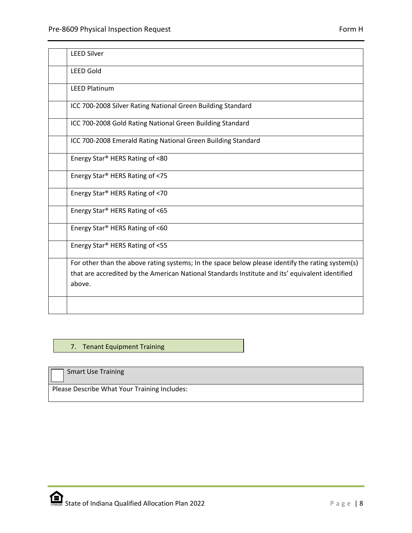| <b>LEED Silver</b>                                                                                                                                                                                            |
|---------------------------------------------------------------------------------------------------------------------------------------------------------------------------------------------------------------|
| <b>LEED Gold</b>                                                                                                                                                                                              |
| <b>LEED Platinum</b>                                                                                                                                                                                          |
| ICC 700-2008 Silver Rating National Green Building Standard                                                                                                                                                   |
| ICC 700-2008 Gold Rating National Green Building Standard                                                                                                                                                     |
| ICC 700-2008 Emerald Rating National Green Building Standard                                                                                                                                                  |
| Energy Star <sup>®</sup> HERS Rating of <80                                                                                                                                                                   |
| Energy Star <sup>®</sup> HERS Rating of <75                                                                                                                                                                   |
| Energy Star <sup>®</sup> HERS Rating of <70                                                                                                                                                                   |
| Energy Star <sup>®</sup> HERS Rating of <65                                                                                                                                                                   |
| Energy Star <sup>®</sup> HERS Rating of <60                                                                                                                                                                   |
| Energy Star <sup>®</sup> HERS Rating of <55                                                                                                                                                                   |
| For other than the above rating systems; In the space below please identify the rating system(s)<br>that are accredited by the American National Standards Institute and its' equivalent identified<br>above. |
|                                                                                                                                                                                                               |

# 7. Tenant Equipment Training

Smart Use Training

Please Describe What Your Training Includes: